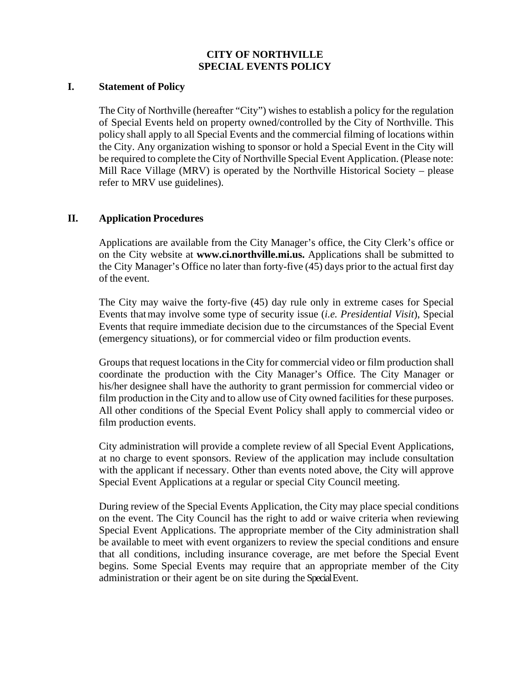# **CITY OF NORTHVILLE SPECIAL EVENTS POLICY**

#### **I. Statement of Policy**

The City of Northville (hereafter "City") wishes to establish a policy for the regulation of Special Events held on property owned/controlled by the City of Northville. This policy shall apply to all Special Events and the commercial filming of locations within the City. Any organization wishing to sponsor or hold a Special Event in the City will be required to complete the City of Northville Special Event Application. (Please note: Mill Race Village (MRV) is operated by the Northville Historical Society – please refer to MRV use guidelines).

## **II. Application Procedures**

Applications are available from the City Manager's office, the City Clerk's office or on the City website at **[www.ci.northville.mi.us.](http://www.ci.northville.mi.us/)** Applications shall be submitted to the City Manager's Office no later than forty-five (45) days prior to the actual first day of the event.

The City may waive the forty-five (45) day rule only in extreme cases for Special Events thatmay involve some type of security issue (*i.e. Presidential Visit*), Special Events that require immediate decision due to the circumstances of the Special Event (emergency situations), or for commercial video or film production events.

Groups that request locations in the City for commercial video or film production shall coordinate the production with the City Manager's Office. The City Manager or his/her designee shall have the authority to grant permission for commercial video or film production in the City and to allow use of City owned facilities for these purposes. All other conditions of the Special Event Policy shall apply to commercial video or film production events.

City administration will provide a complete review of all Special Event Applications, at no charge to event sponsors. Review of the application may include consultation with the applicant if necessary. Other than events noted above, the City will approve Special Event Applications at a regular or special City Council meeting.

During review of the Special Events Application, the City may place special conditions on the event. The City Council has the right to add or waive criteria when reviewing Special Event Applications. The appropriate member of the City administration shall be available to meet with event organizers to review the special conditions and ensure that all conditions, including insurance coverage, are met before the Special Event begins. Some Special Events may require that an appropriate member of the City administration or their agent be on site during the Special Event.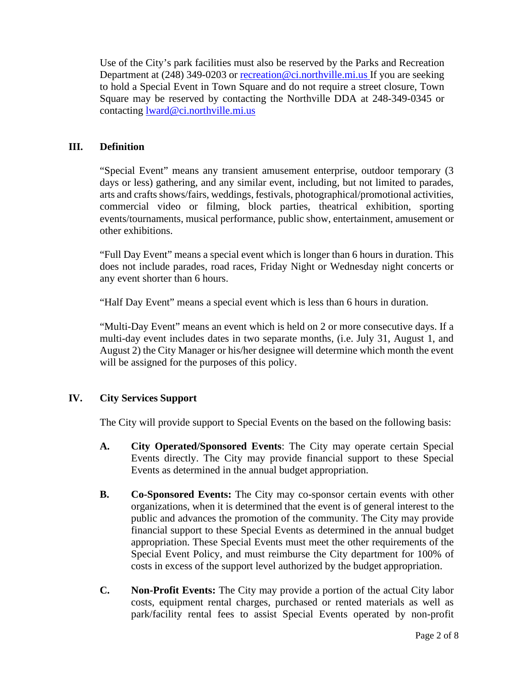Use of the City's park facilities must also be reserved by the Parks and Recreation Department at (248) 349-0203 or [recreation@ci.northville.mi.us](mailto:recreation@ci.northville.mi.us) If you are seeking to hold a Special Event in Town Square and do not require a street closure, Town Square may be reserved by contacting the Northville DDA at 248-349-0345 or contacting [lward@ci.northville.mi.us](mailto:lward@ci.northville.mi.us)

## **III. Definition**

"Special Event" means any transient amusement enterprise, outdoor temporary (3 days or less) gathering, and any similar event, including, but not limited to parades, arts and crafts shows/fairs, weddings, festivals, photographical/promotional activities, commercial video or filming, block parties, theatrical exhibition, sporting events/tournaments, musical performance, public show, entertainment, amusement or other exhibitions.

"Full Day Event" means a special event which is longer than 6 hours in duration. This does not include parades, road races, Friday Night or Wednesday night concerts or any event shorter than 6 hours.

"Half Day Event" means a special event which is less than 6 hours in duration.

"Multi-Day Event" means an event which is held on 2 or more consecutive days. If a multi-day event includes dates in two separate months, (i.e. July 31, August 1, and August 2) the City Manager or his/her designee will determine which month the event will be assigned for the purposes of this policy.

# **IV. City Services Support**

The City will provide support to Special Events on the based on the following basis:

- **A. City Operated/Sponsored Events**: The City may operate certain Special Events directly. The City may provide financial support to these Special Events as determined in the annual budget appropriation.
- **B. Co-Sponsored Events:** The City may co-sponsor certain events with other organizations, when it is determined that the event is of general interest to the public and advances the promotion of the community. The City may provide financial support to these Special Events as determined in the annual budget appropriation. These Special Events must meet the other requirements of the Special Event Policy, and must reimburse the City department for 100% of costs in excess of the support level authorized by the budget appropriation.
- **C. Non-Profit Events:** The City may provide a portion of the actual City labor costs, equipment rental charges, purchased or rented materials as well as park/facility rental fees to assist Special Events operated by non-profit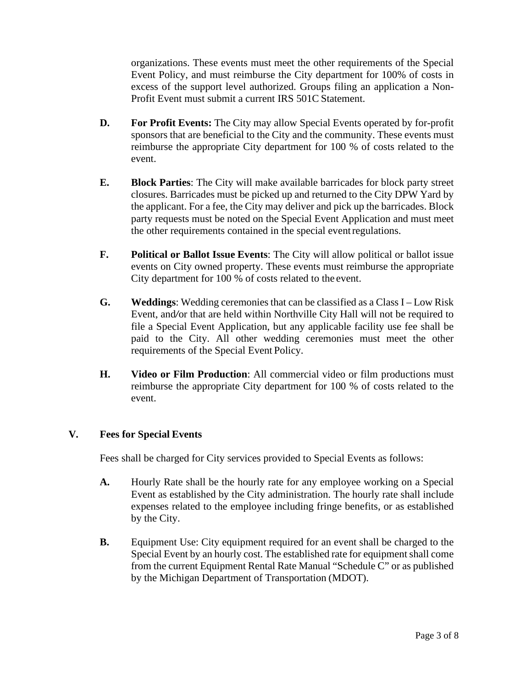organizations. These events must meet the other requirements of the Special Event Policy, and must reimburse the City department for 100% of costs in excess of the support level authorized. Groups filing an application a Non-Profit Event must submit a current IRS 501C Statement.

- **D. For Profit Events:** The City may allow Special Events operated by for-profit sponsors that are beneficial to the City and the community. These events must reimburse the appropriate City department for 100 % of costs related to the event.
- **E. Block Parties**: The City will make available barricades for block party street closures. Barricades must be picked up and returned to the City DPW Yard by the applicant. For a fee, the City may deliver and pick up the barricades. Block party requests must be noted on the Special Event Application and must meet the other requirements contained in the special eventregulations.
- **F. Political or Ballot Issue Events**: The City will allow political or ballot issue events on City owned property. These events must reimburse the appropriate City department for 100 % of costs related to the event.
- **G. Weddings**: Wedding ceremonies that can be classified as a Class I Low Risk Event, and*/*or that are held within Northville City Hall will not be required to file a Special Event Application, but any applicable facility use fee shall be paid to the City. All other wedding ceremonies must meet the other requirements of the Special Event Policy.
- **H. Video or Film Production**: All commercial video or film productions must reimburse the appropriate City department for 100 % of costs related to the event.

# **V. Fees for Special Events**

Fees shall be charged for City services provided to Special Events as follows:

- **A.** Hourly Rate shall be the hourly rate for any employee working on a Special Event as established by the City administration. The hourly rate shall include expenses related to the employee including fringe benefits, or as established by the City.
- **B.** Equipment Use: City equipment required for an event shall be charged to the Special Event by an hourly cost. The established rate for equipment shall come from the current Equipment Rental Rate Manual "Schedule C" or as published by the Michigan Department of Transportation (MDOT).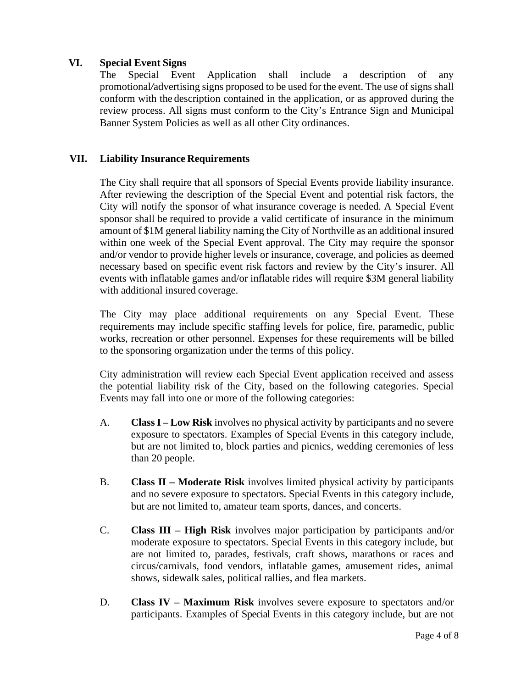## **VI. Special Event Signs**

The Special Event Application shall include a description of any promotional*/*advertising signs proposed to be used for the event. The use of signs shall conform with the description contained in the application, or as approved during the review process. All signs must conform to the City's Entrance Sign and Municipal Banner System Policies as well as all other City ordinances.

## **VII. Liability Insurance Requirements**

The City shall require that all sponsors of Special Events provide liability insurance. After reviewing the description of the Special Event and potential risk factors, the City will notify the sponsor of what insurance coverage is needed. A Special Event sponsor shall be required to provide a valid certificate of insurance in the minimum amount of \$1M general liability naming the City of Northville as an additional insured within one week of the Special Event approval. The City may require the sponsor and/or vendor to provide higher levels or insurance, coverage, and policies as deemed necessary based on specific event risk factors and review by the City's insurer. All events with inflatable games and/or inflatable rides will require \$3M general liability with additional insured coverage.

The City may place additional requirements on any Special Event. These requirements may include specific staffing levels for police, fire, paramedic, public works, recreation or other personnel. Expenses for these requirements will be billed to the sponsoring organization under the terms of this policy.

City administration will review each Special Event application received and assess the potential liability risk of the City, based on the following categories. Special Events may fall into one or more of the following categories:

- A. **Class I – Low Risk** involves no physical activity by participants and no severe exposure to spectators. Examples of Special Events in this category include, but are not limited to, block parties and picnics, wedding ceremonies of less than 20 people.
- B. **Class II – Moderate Risk** involves limited physical activity by participants and no severe exposure to spectators. Special Events in this category include, but are not limited to, amateur team sports, dances, and concerts.
- C. **Class III – High Risk** involves major participation by participants and/or moderate exposure to spectators. Special Events in this category include, but are not limited to, parades, festivals, craft shows, marathons or races and circus/carnivals, food vendors, inflatable games, amusement rides, animal shows, sidewalk sales, political rallies, and flea markets.
- D. **Class IV – Maximum Risk** involves severe exposure to spectators and/or participants. Examples of Special Events in this category include, but are not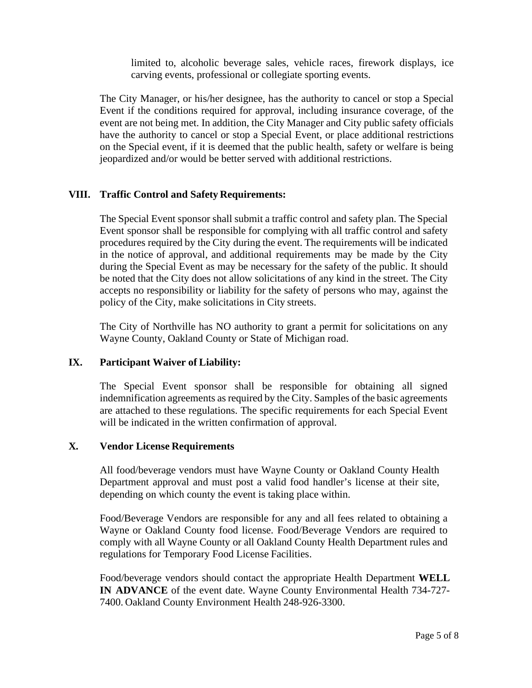limited to, alcoholic beverage sales, vehicle races, firework displays, ice carving events, professional or collegiate sporting events.

The City Manager, or his/her designee, has the authority to cancel or stop a Special Event if the conditions required for approval, including insurance coverage, of the event are not being met. In addition, the City Manager and City public safety officials have the authority to cancel or stop a Special Event, or place additional restrictions on the Special event, if it is deemed that the public health, safety or welfare is being jeopardized and/or would be better served with additional restrictions.

## **VIII. Traffic Control and Safety Requirements:**

The Special Event sponsor shall submit a traffic control and safety plan. The Special Event sponsor shall be responsible for complying with all traffic control and safety procedures required by the City during the event. The requirements will be indicated in the notice of approval, and additional requirements may be made by the City during the Special Event as may be necessary for the safety of the public. It should be noted that the City does not allow solicitations of any kind in the street. The City accepts no responsibility or liability for the safety of persons who may, against the policy of the City, make solicitations in City streets.

The City of Northville has NO authority to grant a permit for solicitations on any Wayne County, Oakland County or State of Michigan road.

#### **IX. Participant Waiver of Liability:**

The Special Event sponsor shall be responsible for obtaining all signed indemnification agreements as required by the City. Samples of the basic agreements are attached to these regulations. The specific requirements for each Special Event will be indicated in the written confirmation of approval.

#### **X. Vendor License Requirements**

All food/beverage vendors must have Wayne County or Oakland County Health Department approval and must post a valid food handler's license at their site, depending on which county the event is taking place within.

Food/Beverage Vendors are responsible for any and all fees related to obtaining a Wayne or Oakland County food license. Food/Beverage Vendors are required to comply with all Wayne County or all Oakland County Health Department rules and regulations for Temporary Food License Facilities.

Food/beverage vendors should contact the appropriate Health Department **WELL IN ADVANCE** of the event date. Wayne County Environmental Health 734-727- 7400. Oakland County Environment Health 248-926-3300.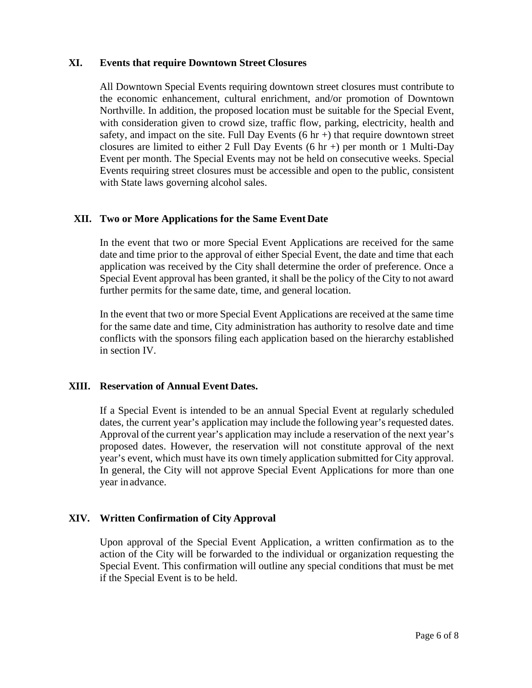#### **XI. Events that require Downtown Street Closures**

All Downtown Special Events requiring downtown street closures must contribute to the economic enhancement, cultural enrichment, and/or promotion of Downtown Northville. In addition, the proposed location must be suitable for the Special Event, with consideration given to crowd size, traffic flow, parking, electricity, health and safety, and impact on the site. Full Day Events  $(6 \text{ hr})$  that require downtown street closures are limited to either 2 Full Day Events  $(6 \text{ hr} +)$  per month or 1 Multi-Day Event per month. The Special Events may not be held on consecutive weeks. Special Events requiring street closures must be accessible and open to the public, consistent with State laws governing alcohol sales.

#### **XII. Two or More Applications for the Same Event Date**

In the event that two or more Special Event Applications are received for the same date and time prior to the approval of either Special Event, the date and time that each application was received by the City shall determine the order of preference. Once a Special Event approval has been granted, it shall be the policy of the City to not award further permits for the same date, time, and general location.

In the event that two or more Special Event Applications are received at the same time for the same date and time, City administration has authority to resolve date and time conflicts with the sponsors filing each application based on the hierarchy established in section IV.

#### **XIII. Reservation of Annual Event Dates.**

If a Special Event is intended to be an annual Special Event at regularly scheduled dates, the current year's application may include the following year's requested dates. Approval of the current year's application may include a reservation of the next year's proposed dates. However, the reservation will not constitute approval of the next year's event, which must have its own timely application submitted for City approval. In general, the City will not approve Special Event Applications for more than one year in advance.

# **XIV. Written Confirmation of City Approval**

Upon approval of the Special Event Application, a written confirmation as to the action of the City will be forwarded to the individual or organization requesting the Special Event. This confirmation will outline any special conditions that must be met if the Special Event is to be held.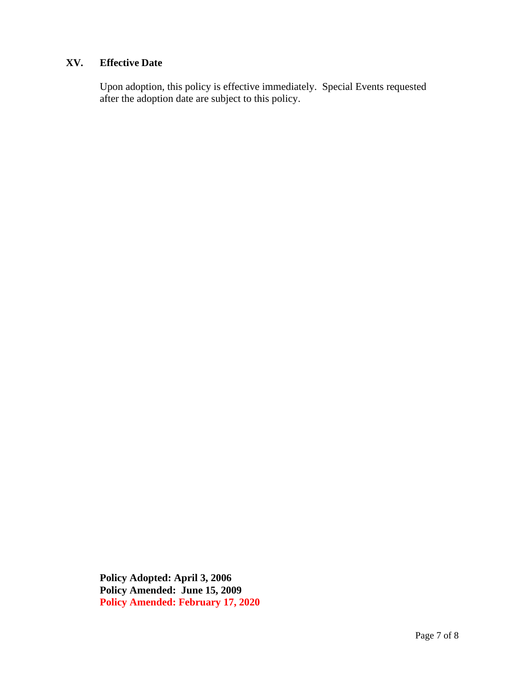## **XV. Effective Date**

Upon adoption, this policy is effective immediately. Special Events requested after the adoption date are subject to this policy.

**Policy Adopted: April 3, 2006 Policy Amended: June 15, 2009 Policy Amended: February 17, 2020**